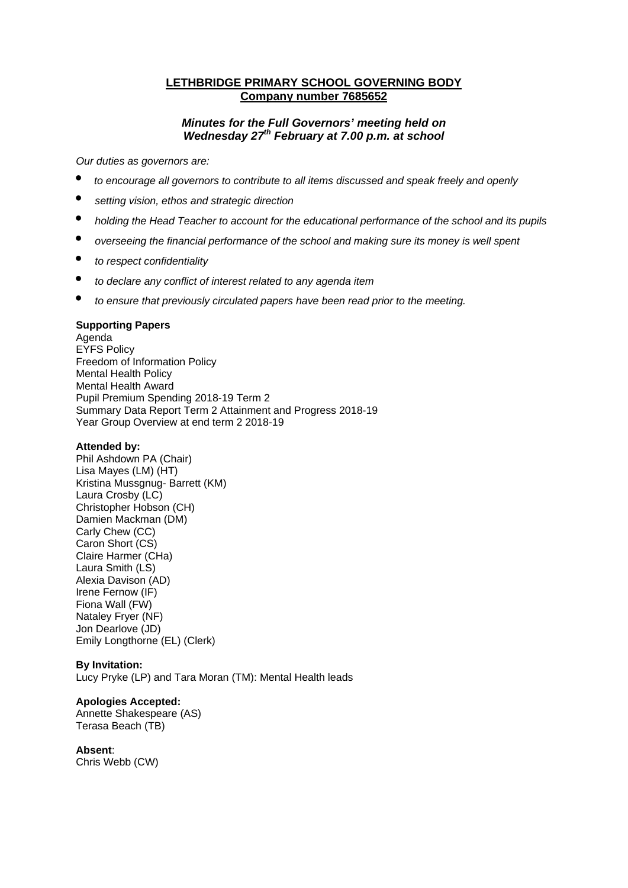# **LETHBRIDGE PRIMARY SCHOOL GOVERNING BODY Company number 7685652**

# *Minutes for the Full Governors' meeting held on Wednesday 27th February at 7.00 p.m. at school*

*Our duties as governors are:* 

- *to encourage all governors to contribute to all items discussed and speak freely and openly*
- *setting vision, ethos and strategic direction*
- *holding the Head Teacher to account for the educational performance of the school and its pupils*
- *overseeing the financial performance of the school and making sure its money is well spent*
- *to respect confidentiality*
- *to declare any conflict of interest related to any agenda item*
- *to ensure that previously circulated papers have been read prior to the meeting.*

### **Supporting Papers**

Agenda EYFS Policy Freedom of Information Policy Mental Health Policy Mental Health Award Pupil Premium Spending 2018-19 Term 2 Summary Data Report Term 2 Attainment and Progress 2018-19 Year Group Overview at end term 2 2018-19

#### **Attended by:**

Phil Ashdown PA (Chair) Lisa Mayes (LM) (HT) Kristina Mussgnug- Barrett (KM) Laura Crosby (LC) Christopher Hobson (CH) Damien Mackman (DM) Carly Chew (CC) Caron Short (CS) Claire Harmer (CHa) Laura Smith (LS) Alexia Davison (AD) Irene Fernow (IF) Fiona Wall (FW) Nataley Fryer (NF) Jon Dearlove (JD) Emily Longthorne (EL) (Clerk)

#### **By Invitation:**

Lucy Pryke (LP) and Tara Moran (TM): Mental Health leads

#### **Apologies Accepted:**

Annette Shakespeare (AS) Terasa Beach (TB)

#### **Absent**:

Chris Webb (CW)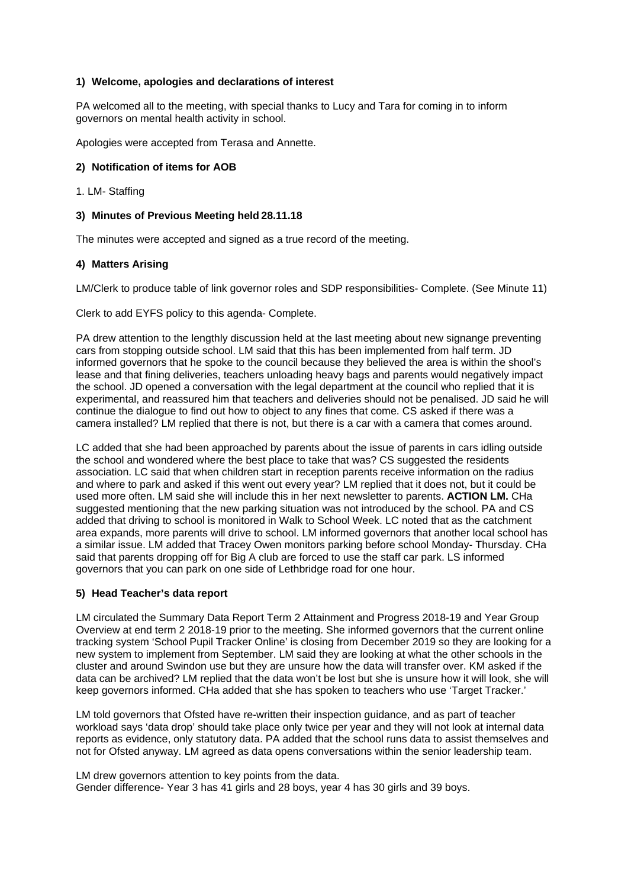### **1) Welcome, apologies and declarations of interest**

PA welcomed all to the meeting, with special thanks to Lucy and Tara for coming in to inform governors on mental health activity in school.

Apologies were accepted from Terasa and Annette.

### **2) Notification of items for AOB**

1. LM- Staffing

### **3) Minutes of Previous Meeting held 28.11.18**

The minutes were accepted and signed as a true record of the meeting.

### **4) Matters Arising**

LM/Clerk to produce table of link governor roles and SDP responsibilities- Complete. (See Minute 11)

Clerk to add EYFS policy to this agenda- Complete.

PA drew attention to the lengthly discussion held at the last meeting about new signange preventing cars from stopping outside school. LM said that this has been implemented from half term. JD informed governors that he spoke to the council because they believed the area is within the shool's lease and that fining deliveries, teachers unloading heavy bags and parents would negatively impact the school. JD opened a conversation with the legal department at the council who replied that it is experimental, and reassured him that teachers and deliveries should not be penalised. JD said he will continue the dialogue to find out how to object to any fines that come. CS asked if there was a camera installed? LM replied that there is not, but there is a car with a camera that comes around.

LC added that she had been approached by parents about the issue of parents in cars idling outside the school and wondered where the best place to take that was? CS suggested the residents association. LC said that when children start in reception parents receive information on the radius and where to park and asked if this went out every year? LM replied that it does not, but it could be used more often. LM said she will include this in her next newsletter to parents. **ACTION LM.** CHa suggested mentioning that the new parking situation was not introduced by the school. PA and CS added that driving to school is monitored in Walk to School Week. LC noted that as the catchment area expands, more parents will drive to school. LM informed governors that another local school has a similar issue. LM added that Tracey Owen monitors parking before school Monday- Thursday. CHa said that parents dropping off for Big A club are forced to use the staff car park. LS informed governors that you can park on one side of Lethbridge road for one hour.

#### **5) Head Teacher's data report**

LM circulated the Summary Data Report Term 2 Attainment and Progress 2018-19 and Year Group Overview at end term 2 2018-19 prior to the meeting. She informed governors that the current online tracking system 'School Pupil Tracker Online' is closing from December 2019 so they are looking for a new system to implement from September. LM said they are looking at what the other schools in the cluster and around Swindon use but they are unsure how the data will transfer over. KM asked if the data can be archived? LM replied that the data won't be lost but she is unsure how it will look, she will keep governors informed. CHa added that she has spoken to teachers who use 'Target Tracker.'

LM told governors that Ofsted have re-written their inspection guidance, and as part of teacher workload says 'data drop' should take place only twice per year and they will not look at internal data reports as evidence, only statutory data. PA added that the school runs data to assist themselves and not for Ofsted anyway. LM agreed as data opens conversations within the senior leadership team.

LM drew governors attention to key points from the data. Gender difference- Year 3 has 41 girls and 28 boys, year 4 has 30 girls and 39 boys.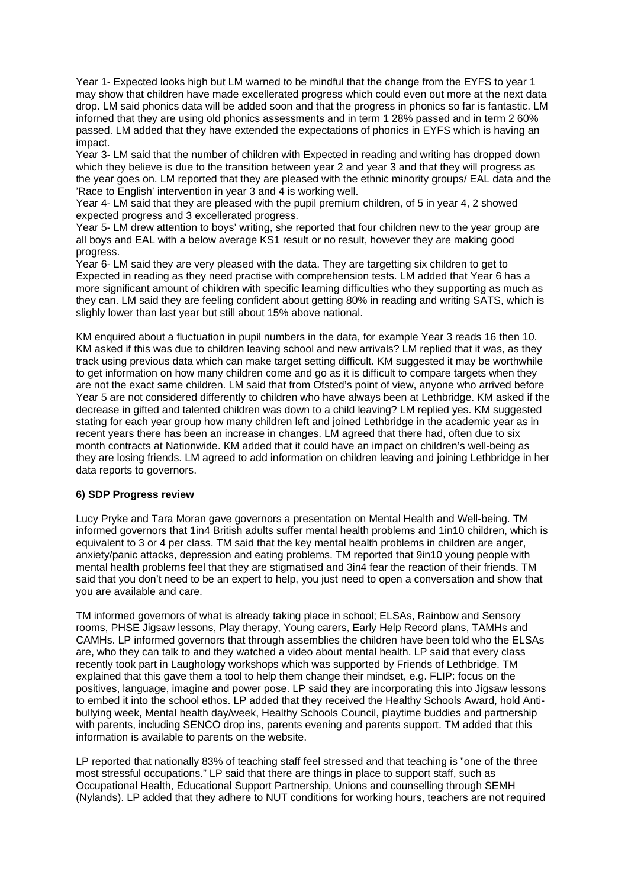Year 1- Expected looks high but LM warned to be mindful that the change from the EYFS to year 1 may show that children have made excellerated progress which could even out more at the next data drop. LM said phonics data will be added soon and that the progress in phonics so far is fantastic. LM inforned that they are using old phonics assessments and in term 1 28% passed and in term 2 60% passed. LM added that they have extended the expectations of phonics in EYFS which is having an impact.

Year 3- LM said that the number of children with Expected in reading and writing has dropped down which they believe is due to the transition between year 2 and year 3 and that they will progress as the year goes on. LM reported that they are pleased with the ethnic minority groups/ EAL data and the 'Race to English' intervention in year 3 and 4 is working well.

Year 4- LM said that they are pleased with the pupil premium children, of 5 in year 4, 2 showed expected progress and 3 excellerated progress.

Year 5- LM drew attention to boys' writing, she reported that four children new to the year group are all boys and EAL with a below average KS1 result or no result, however they are making good progress.

Year 6- LM said they are very pleased with the data. They are targetting six children to get to Expected in reading as they need practise with comprehension tests. LM added that Year 6 has a more significant amount of children with specific learning difficulties who they supporting as much as they can. LM said they are feeling confident about getting 80% in reading and writing SATS, which is slighly lower than last year but still about 15% above national.

KM enquired about a fluctuation in pupil numbers in the data, for example Year 3 reads 16 then 10. KM asked if this was due to children leaving school and new arrivals? LM replied that it was, as they track using previous data which can make target setting difficult. KM suggested it may be worthwhile to get information on how many children come and go as it is difficult to compare targets when they are not the exact same children. LM said that from Ofsted's point of view, anyone who arrived before Year 5 are not considered differently to children who have always been at Lethbridge. KM asked if the decrease in gifted and talented children was down to a child leaving? LM replied yes. KM suggested stating for each year group how many children left and joined Lethbridge in the academic year as in recent years there has been an increase in changes. LM agreed that there had, often due to six month contracts at Nationwide. KM added that it could have an impact on children's well-being as they are losing friends. LM agreed to add information on children leaving and joining Lethbridge in her data reports to governors.

#### **6) SDP Progress review**

Lucy Pryke and Tara Moran gave governors a presentation on Mental Health and Well-being. TM informed governors that 1in4 British adults suffer mental health problems and 1in10 children, which is equivalent to 3 or 4 per class. TM said that the key mental health problems in children are anger, anxiety/panic attacks, depression and eating problems. TM reported that 9in10 young people with mental health problems feel that they are stigmatised and 3in4 fear the reaction of their friends. TM said that you don't need to be an expert to help, you just need to open a conversation and show that you are available and care.

TM informed governors of what is already taking place in school; ELSAs, Rainbow and Sensory rooms, PHSE Jigsaw lessons, Play therapy, Young carers, Early Help Record plans, TAMHs and CAMHs. LP informed governors that through assemblies the children have been told who the ELSAs are, who they can talk to and they watched a video about mental health. LP said that every class recently took part in Laughology workshops which was supported by Friends of Lethbridge. TM explained that this gave them a tool to help them change their mindset, e.g. FLIP: focus on the positives, language, imagine and power pose. LP said they are incorporating this into Jigsaw lessons to embed it into the school ethos. LP added that they received the Healthy Schools Award, hold Antibullying week, Mental health day/week, Healthy Schools Council, playtime buddies and partnership with parents, including SENCO drop ins, parents evening and parents support. TM added that this information is available to parents on the website.

LP reported that nationally 83% of teaching staff feel stressed and that teaching is "one of the three most stressful occupations." LP said that there are things in place to support staff, such as Occupational Health, Educational Support Partnership, Unions and counselling through SEMH (Nylands). LP added that they adhere to NUT conditions for working hours, teachers are not required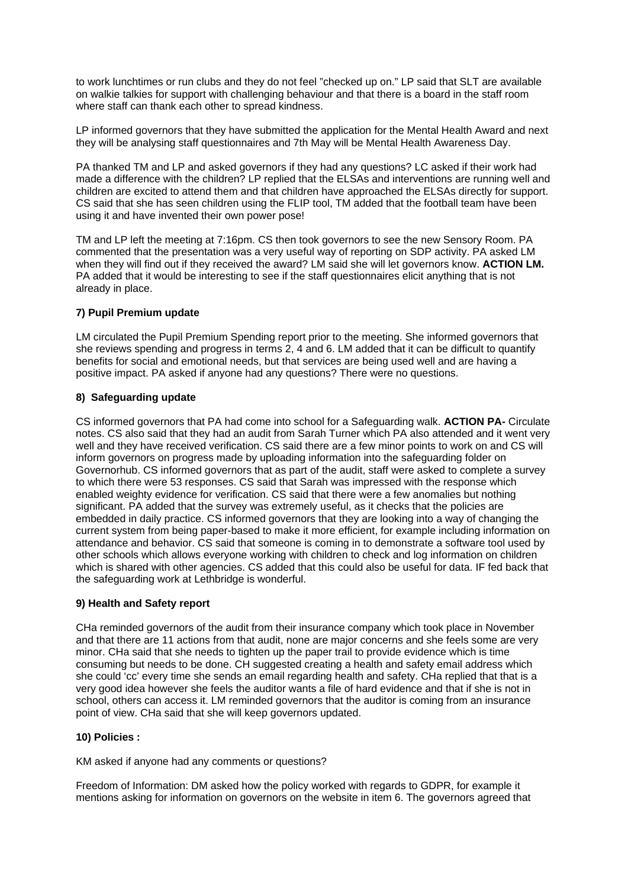to work lunchtimes or run clubs and they do not feel "checked up on." LP said that SLT are available on walkie talkies for support with challenging behaviour and that there is a board in the staff room where staff can thank each other to spread kindness.

LP informed governors that they have submitted the application for the Mental Health Award and next they will be analysing staff questionnaires and 7th May will be Mental Health Awareness Day.

PA thanked TM and LP and asked governors if they had any questions? LC asked if their work had made a difference with the children? LP replied that the ELSAs and interventions are running well and children are excited to attend them and that children have approached the ELSAs directly for support. CS said that she has seen children using the FLIP tool, TM added that the football team have been using it and have invented their own power pose!

TM and LP left the meeting at 7:16pm. CS then took governors to see the new Sensory Room. PA commented that the presentation was a very useful way of reporting on SDP activity. PA asked LM when they will find out if they received the award? LM said she will let governors know. **ACTION LM.** PA added that it would be interesting to see if the staff questionnaires elicit anything that is not already in place.

### **7) Pupil Premium update**

LM circulated the Pupil Premium Spending report prior to the meeting. She informed governors that she reviews spending and progress in terms 2, 4 and 6. LM added that it can be difficult to quantify benefits for social and emotional needs, but that services are being used well and are having a positive impact. PA asked if anyone had any questions? There were no questions.

### **8) Safeguarding update**

CS informed governors that PA had come into school for a Safeguarding walk. **ACTION PA-** Circulate notes. CS also said that they had an audit from Sarah Turner which PA also attended and it went very well and they have received verification. CS said there are a few minor points to work on and CS will inform governors on progress made by uploading information into the safeguarding folder on Governorhub. CS informed governors that as part of the audit, staff were asked to complete a survey to which there were 53 responses. CS said that Sarah was impressed with the response which enabled weighty evidence for verification. CS said that there were a few anomalies but nothing significant. PA added that the survey was extremely useful, as it checks that the policies are embedded in daily practice. CS informed governors that they are looking into a way of changing the current system from being paper-based to make it more efficient, for example including information on attendance and behavior. CS said that someone is coming in to demonstrate a software tool used by other schools which allows everyone working with children to check and log information on children which is shared with other agencies. CS added that this could also be useful for data. IF fed back that the safeguarding work at Lethbridge is wonderful.

#### **9) Health and Safety report**

CHa reminded governors of the audit from their insurance company which took place in November and that there are 11 actions from that audit, none are major concerns and she feels some are very minor. CHa said that she needs to tighten up the paper trail to provide evidence which is time consuming but needs to be done. CH suggested creating a health and safety email address which she could 'cc' every time she sends an email regarding health and safety. CHa replied that that is a very good idea however she feels the auditor wants a file of hard evidence and that if she is not in school, others can access it. LM reminded governors that the auditor is coming from an insurance point of view. CHa said that she will keep governors updated.

#### **10) Policies :**

KM asked if anyone had any comments or questions?

Freedom of Information: DM asked how the policy worked with regards to GDPR, for example it mentions asking for information on governors on the website in item 6. The governors agreed that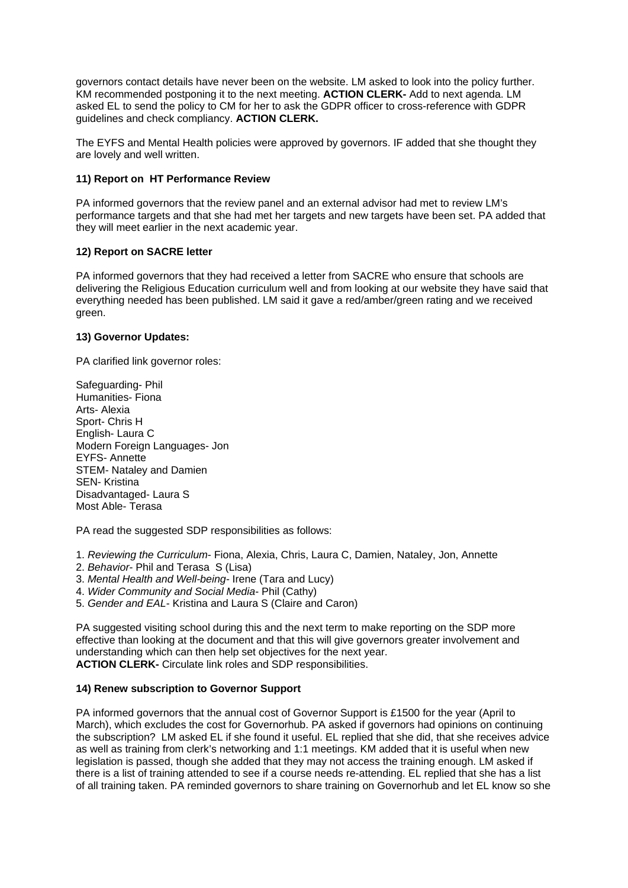governors contact details have never been on the website. LM asked to look into the policy further. KM recommended postponing it to the next meeting. **ACTION CLERK-** Add to next agenda. LM asked EL to send the policy to CM for her to ask the GDPR officer to cross-reference with GDPR guidelines and check compliancy. **ACTION CLERK.** 

The EYFS and Mental Health policies were approved by governors. IF added that she thought they are lovely and well written.

### **11) Report on HT Performance Review**

PA informed governors that the review panel and an external advisor had met to review LM's performance targets and that she had met her targets and new targets have been set. PA added that they will meet earlier in the next academic year.

# **12) Report on SACRE letter**

PA informed governors that they had received a letter from SACRE who ensure that schools are delivering the Religious Education curriculum well and from looking at our website they have said that everything needed has been published. LM said it gave a red/amber/green rating and we received green.

# **13) Governor Updates:**

PA clarified link governor roles:

Safeguarding- Phil Humanities- Fiona Arts- Alexia Sport- Chris H English- Laura C Modern Foreign Languages- Jon EYFS- Annette STEM- Nataley and Damien SEN- Kristina Disadvantaged- Laura S Most Able- Terasa

PA read the suggested SDP responsibilities as follows:

- 1. *Reviewing the Curriculum* Fiona, Alexia, Chris, Laura C, Damien, Nataley, Jon, Annette
- 2. *Behavior-* Phil and Terasa S (Lisa)
- 3. *Mental Health and Well-being-* Irene (Tara and Lucy)
- 4. *Wider Community and Social Media* Phil (Cathy)
- 5. *Gender and EAL* Kristina and Laura S (Claire and Caron)

PA suggested visiting school during this and the next term to make reporting on the SDP more effective than looking at the document and that this will give governors greater involvement and understanding which can then help set objectives for the next year. **ACTION CLERK-** Circulate link roles and SDP responsibilities.

# **14) Renew subscription to Governor Support**

PA informed governors that the annual cost of Governor Support is £1500 for the year (April to March), which excludes the cost for Governorhub. PA asked if governors had opinions on continuing the subscription? LM asked EL if she found it useful. EL replied that she did, that she receives advice as well as training from clerk's networking and 1:1 meetings. KM added that it is useful when new legislation is passed, though she added that they may not access the training enough. LM asked if there is a list of training attended to see if a course needs re-attending. EL replied that she has a list of all training taken. PA reminded governors to share training on Governorhub and let EL know so she